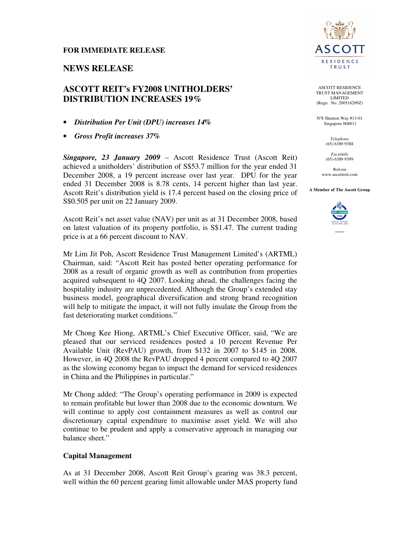#### **FOR IMMEDIATE RELEASE**

## **NEWS RELEASE**

# **ASCOTT REIT's FY2008 UNITHOLDERS' DISTRIBUTION INCREASES 19%**

- *Distribution Per Unit (DPU) increases 14%*
- *Gross Profit increases 37%*

*Singapore, 23 January 2009* – Ascott Residence Trust (Ascott Reit) achieved a unitholders' distribution of S\$53.7 million for the year ended 31 December 2008, a 19 percent increase over last year. DPU for the year ended 31 December 2008 is 8.78 cents, 14 percent higher than last year. Ascott Reit's distribution yield is 17.4 percent based on the closing price of S\$0.505 per unit on 22 January 2009.

Ascott Reit's net asset value (NAV) per unit as at 31 December 2008, based on latest valuation of its property portfolio, is S\$1.47. The current trading price is at a 66 percent discount to NAV.

Mr Lim Jit Poh, Ascott Residence Trust Management Limited's (ARTML) Chairman, said: "Ascott Reit has posted better operating performance for 2008 as a result of organic growth as well as contribution from properties acquired subsequent to 4Q 2007. Looking ahead, the challenges facing the hospitality industry are unprecedented. Although the Group's extended stay business model, geographical diversification and strong brand recognition will help to mitigate the impact, it will not fully insulate the Group from the fast deteriorating market conditions."

Mr Chong Kee Hiong, ARTML's Chief Executive Officer, said, "We are pleased that our serviced residences posted a 10 percent Revenue Per Available Unit (RevPAU) growth, from \$132 in 2007 to \$145 in 2008. However, in 4Q 2008 the RevPAU dropped 4 percent compared to 4Q 2007 as the slowing economy began to impact the demand for serviced residences in China and the Philippines in particular."

Mr Chong added: "The Group's operating performance in 2009 is expected to remain profitable but lower than 2008 due to the economic downturn. We will continue to apply cost containment measures as well as control our discretionary capital expenditure to maximise asset yield. We will also continue to be prudent and apply a conservative approach in managing our balance sheet."

## **Capital Management**

As at 31 December 2008, Ascott Reit Group's gearing was 38.3 percent, well within the 60 percent gearing limit allowable under MAS property fund



ASCOTT RESIDENCE TRUST MANAGEMENT LIMITED (Regn. No: 200516209Z)

N°8 Shenton Way #13-01 Singapore 068811

> *Telephone*  (65) 6389 9388

*Facsimile*  (65) 6389 9399

*Website*  www.ascottreit.com

**A Member of The Ascott Group** 

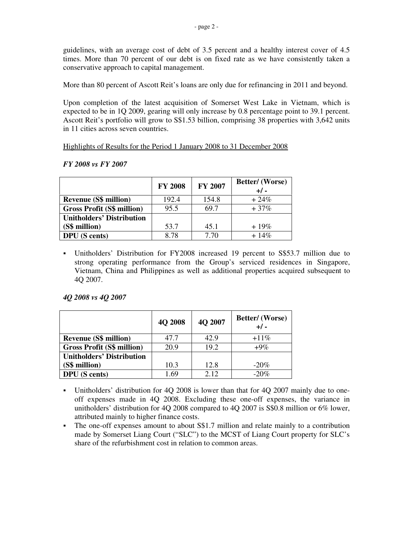guidelines, with an average cost of debt of 3.5 percent and a healthy interest cover of 4.5 times. More than 70 percent of our debt is on fixed rate as we have consistently taken a conservative approach to capital management.

More than 80 percent of Ascott Reit's loans are only due for refinancing in 2011 and beyond.

Upon completion of the latest acquisition of Somerset West Lake in Vietnam, which is expected to be in 1Q 2009, gearing will only increase by 0.8 percentage point to 39.1 percent. Ascott Reit's portfolio will grow to S\$1.53 billion, comprising 38 properties with 3,642 units in 11 cities across seven countries.

Highlights of Results for the Period 1 January 2008 to 31 December 2008

|                                   | <b>FY 2008</b> | FY 2007 | Better/ (Worse)<br>$+/-$ |
|-----------------------------------|----------------|---------|--------------------------|
| <b>Revenue (S\$ million)</b>      | 192.4          | 154.8   | $+24\%$                  |
| <b>Gross Profit (S\$ million)</b> | 95.5           | 69.7    | $+37%$                   |
| <b>Unitholders' Distribution</b>  |                |         |                          |
| (S\$ million)                     | 53.7           | 45.1    | $+19\%$                  |
| <b>DPU</b> (S cents)              | 8.78           | 7.70    | $+14\%$                  |

## *FY 2008 vs FY 2007*

 Unitholders' Distribution for FY2008 increased 19 percent to S\$53.7 million due to strong operating performance from the Group's serviced residences in Singapore, Vietnam, China and Philippines as well as additional properties acquired subsequent to 4Q 2007.

## *4Q 2008 vs 4Q 2007*

|                                   | 4Q 2008 | 4Q 2007 | Better/(Worse)<br>$+/-$ |
|-----------------------------------|---------|---------|-------------------------|
| <b>Revenue (S\$ million)</b>      | 47.7    | 42.9    | $+11\%$                 |
| <b>Gross Profit (S\$ million)</b> | 20.9    | 19.2    | $+9\%$                  |
| <b>Unitholders' Distribution</b>  |         |         |                         |
| (S\$ million)                     | 10.3    | 12.8    | $-20\%$                 |
| <b>DPU</b> (S cents)              | -69     | 2.12    | $-20%$                  |

- Unitholders' distribution for 4Q 2008 is lower than that for 4Q 2007 mainly due to oneoff expenses made in 4Q 2008. Excluding these one-off expenses, the variance in unitholders' distribution for 4Q 2008 compared to 4Q 2007 is S\$0.8 million or 6% lower, attributed mainly to higher finance costs.
- The one-off expenses amount to about S\$1.7 million and relate mainly to a contribution made by Somerset Liang Court ("SLC") to the MCST of Liang Court property for SLC's share of the refurbishment cost in relation to common areas.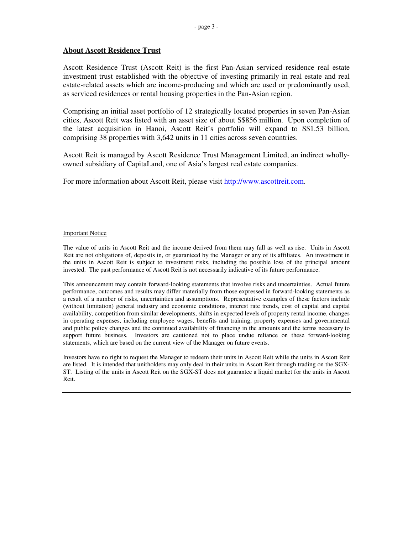## **About Ascott Residence Trust**

Ascott Residence Trust (Ascott Reit) is the first Pan-Asian serviced residence real estate investment trust established with the objective of investing primarily in real estate and real estate-related assets which are income-producing and which are used or predominantly used, as serviced residences or rental housing properties in the Pan-Asian region.

Comprising an initial asset portfolio of 12 strategically located properties in seven Pan-Asian cities, Ascott Reit was listed with an asset size of about S\$856 million. Upon completion of the latest acquisition in Hanoi, Ascott Reit's portfolio will expand to S\$1.53 billion, comprising 38 properties with 3,642 units in 11 cities across seven countries.

Ascott Reit is managed by Ascott Residence Trust Management Limited, an indirect whollyowned subsidiary of CapitaLand, one of Asia's largest real estate companies.

For more information about Ascott Reit, please visit http://www.ascottreit.com.

#### Important Notice

The value of units in Ascott Reit and the income derived from them may fall as well as rise. Units in Ascott Reit are not obligations of, deposits in, or guaranteed by the Manager or any of its affiliates. An investment in the units in Ascott Reit is subject to investment risks, including the possible loss of the principal amount invested. The past performance of Ascott Reit is not necessarily indicative of its future performance.

This announcement may contain forward-looking statements that involve risks and uncertainties. Actual future performance, outcomes and results may differ materially from those expressed in forward-looking statements as a result of a number of risks, uncertainties and assumptions. Representative examples of these factors include (without limitation) general industry and economic conditions, interest rate trends, cost of capital and capital availability, competition from similar developments, shifts in expected levels of property rental income, changes in operating expenses, including employee wages, benefits and training, property expenses and governmental and public policy changes and the continued availability of financing in the amounts and the terms necessary to support future business. Investors are cautioned not to place undue reliance on these forward-looking statements, which are based on the current view of the Manager on future events.

Investors have no right to request the Manager to redeem their units in Ascott Reit while the units in Ascott Reit are listed. It is intended that unitholders may only deal in their units in Ascott Reit through trading on the SGX-ST. Listing of the units in Ascott Reit on the SGX-ST does not guarantee a liquid market for the units in Ascott Reit.